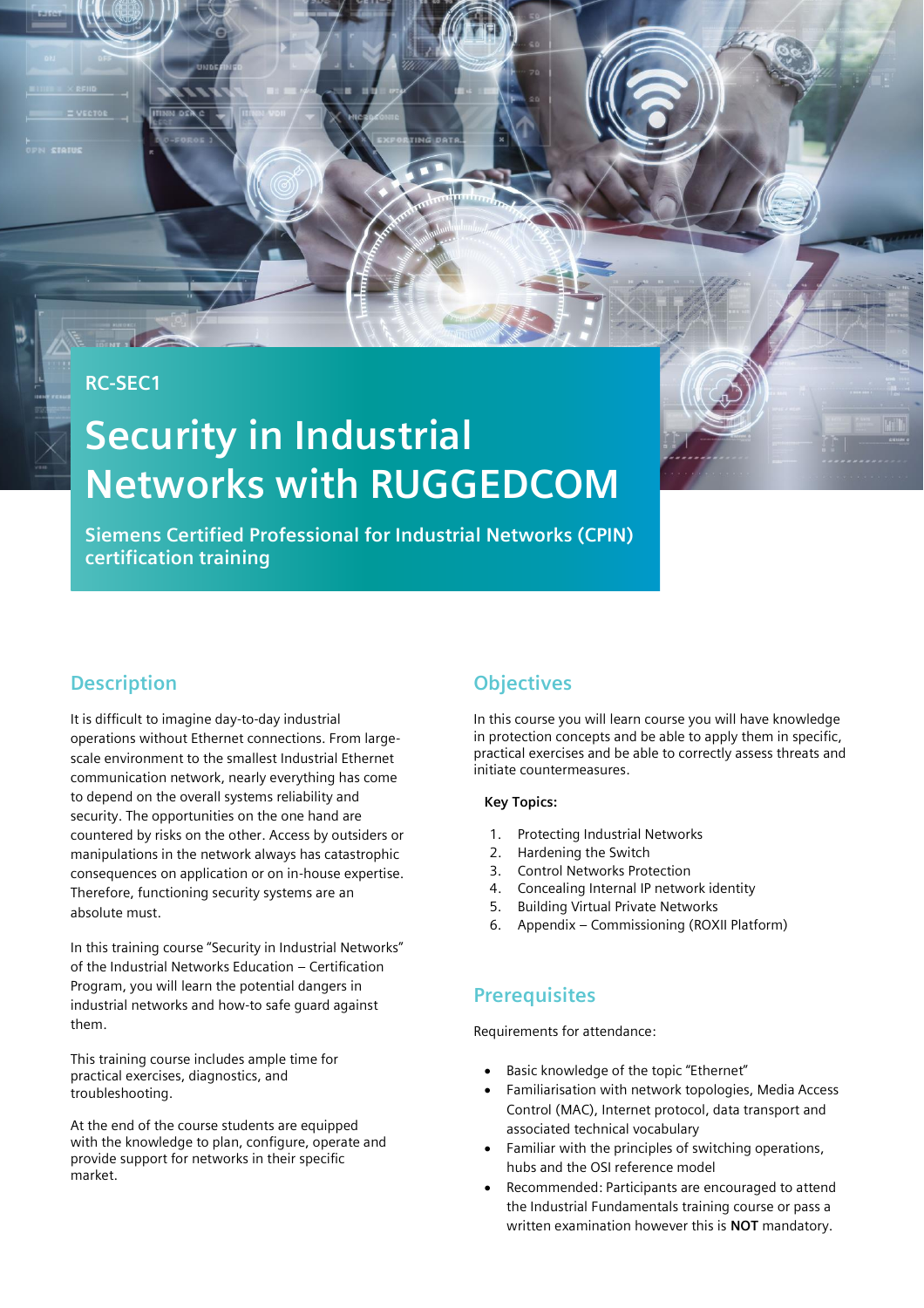### **RC-SEC1**

# **Security in Industrial Networks with RUGGEDCOM**

**Siemens Certified Professional for Industrial Networks (CPIN) certification training**

#### **Description**

It is difficult to imagine day-to-day industrial operations without Ethernet connections. From largescale environment to the smallest Industrial Ethernet communication network, nearly everything has come to depend on the overall systems reliability and security. The opportunities on the one hand are countered by risks on the other. Access by outsiders or manipulations in the network always has catastrophic consequences on application or on in-house expertise. Therefore, functioning security systems are an absolute must.

In this training course "Security in Industrial Networks" of the Industrial Networks Education – Certification Program, you will learn the potential dangers in industrial networks and how-to safe guard against them.

This training course includes ample time for practical exercises, diagnostics, and troubleshooting.

At the end of the course students are equipped with the knowledge to plan, configure, operate and provide support for networks in their specific market.

## **Objectives**

In this course you will learn course you will have knowledge in protection concepts and be able to apply them in specific, practical exercises and be able to correctly assess threats and initiate countermeasures.

#### **Key Topics:**

- 1. Protecting Industrial Networks
- 2. Hardening the Switch
- 3. Control Networks Protection
- 4. Concealing Internal IP network identity
- 5. Building Virtual Private Networks
- 6. Appendix Commissioning (ROXII Platform)

#### **Prerequisites**

Requirements for attendance:

- Basic knowledge of the topic "Ethernet"
- Familiarisation with network topologies, Media Access Control (MAC), Internet protocol, data transport and associated technical vocabulary
- Familiar with the principles of switching operations, hubs and the OSI reference model
- Recommended: Participants are encouraged to attend the Industrial Fundamentals training course or pass a written examination however this is **NOT** mandatory.